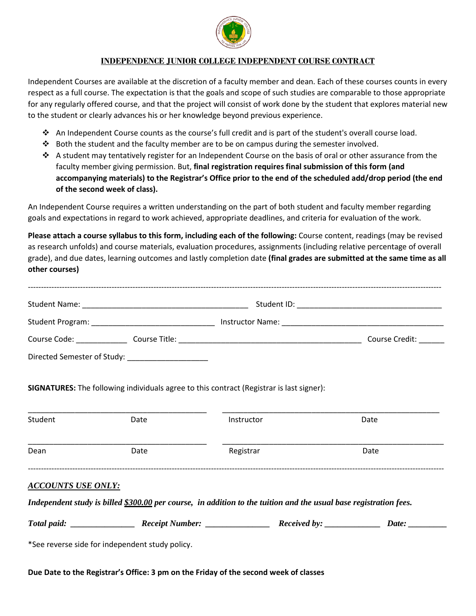

## **INDEPENDENCE JUNIOR COLLEGE INDEPENDENT COURSE CONTRACT**

Independent Courses are available at the discretion of a faculty member and dean. Each of these courses counts in every respect as a full course. The expectation is that the goals and scope of such studies are comparable to those appropriate for any regularly offered course, and that the project will consist of work done by the student that explores material new to the student or clearly advances his or her knowledge beyond previous experience.

- An Independent Course counts as the course's full credit and is part of the student's overall course load.
- $\div$  Both the student and the faculty member are to be on campus during the semester involved.
- $\bullet$  A student may tentatively register for an Independent Course on the basis of oral or other assurance from the faculty member giving permission. But, **final registration requires final submission of this form (and accompanying materials) to the Registrar's Office prior to the end of the scheduled add/drop period (the end of the second week of class).**

An Independent Course requires a written understanding on the part of both student and faculty member regarding goals and expectations in regard to work achieved, appropriate deadlines, and criteria for evaluation of the work.

**Please attach a course syllabus to this form, including each of the following:** Course content, readings (may be revised as research unfolds) and course materials, evaluation procedures, assignments (including relative percentage of overall grade), and due dates, learning outcomes and lastly completion date **(final grades are submitted at the same time as all other courses)**

| Course Code: North Course   |  | Course Credit: |
|-----------------------------|--|----------------|
| Directed Semester of Study: |  |                |

**SIGNATURES:** The following individuals agree to this contract (Registrar is last signer):

| Student | Date | Instructor | Date |
|---------|------|------------|------|
| Dean    | Date | Registrar  | Date |
|         |      |            |      |

## *ACCOUNTS USE ONLY:*

*Independent study is billed \$300.00 per course, in addition to the tuition and the usual base registration fees.* 

| .<br>. | Total paid: | <i>Receipt Number:</i> |  | <i>Received by:</i> | )ate |
|--------|-------------|------------------------|--|---------------------|------|
|--------|-------------|------------------------|--|---------------------|------|

\*See reverse side for independent study policy.

**Due Date to the Registrar's Office: 3 pm on the Friday of the second week of classes**